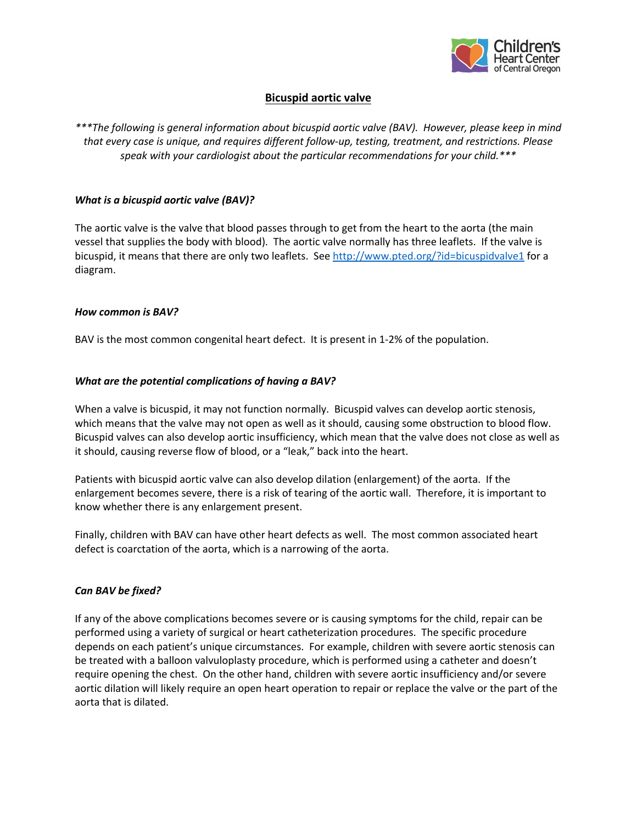

# **Bicuspid aortic valve**

*\*\*\*The following is general information about bicuspid aortic valve (BAV). However, please keep in mind that every case is unique, and requires different follow-up, testing, treatment, and restrictions. Please speak with your cardiologist about the particular recommendations for your child.\*\*\**

#### *What is a bicuspid aortic valve (BAV)?*

The aortic valve is the valve that blood passes through to get from the heart to the aorta (the main vessel that supplies the body with blood). The aortic valve normally has three leaflets. If the valve is bicuspid, it means that there are only two leaflets. See http://www.pted.org/?id=bicuspidvalve1 for a diagram.

#### *How common is BAV?*

BAV is the most common congenital heart defect. It is present in 1-2% of the population.

### *What are the potential complications of having a BAV?*

When a valve is bicuspid, it may not function normally. Bicuspid valves can develop aortic stenosis, which means that the valve may not open as well as it should, causing some obstruction to blood flow. Bicuspid valves can also develop aortic insufficiency, which mean that the valve does not close as well as it should, causing reverse flow of blood, or a "leak," back into the heart.

Patients with bicuspid aortic valve can also develop dilation (enlargement) of the aorta. If the enlargement becomes severe, there is a risk of tearing of the aortic wall. Therefore, it is important to know whether there is any enlargement present.

Finally, children with BAV can have other heart defects as well. The most common associated heart defect is coarctation of the aorta, which is a narrowing of the aorta.

### *Can BAV be fixed?*

If any of the above complications becomes severe or is causing symptoms for the child, repair can be performed using a variety of surgical or heart catheterization procedures. The specific procedure depends on each patient's unique circumstances. For example, children with severe aortic stenosis can be treated with a balloon valvuloplasty procedure, which is performed using a catheter and doesn't require opening the chest. On the other hand, children with severe aortic insufficiency and/or severe aortic dilation will likely require an open heart operation to repair or replace the valve or the part of the aorta that is dilated.